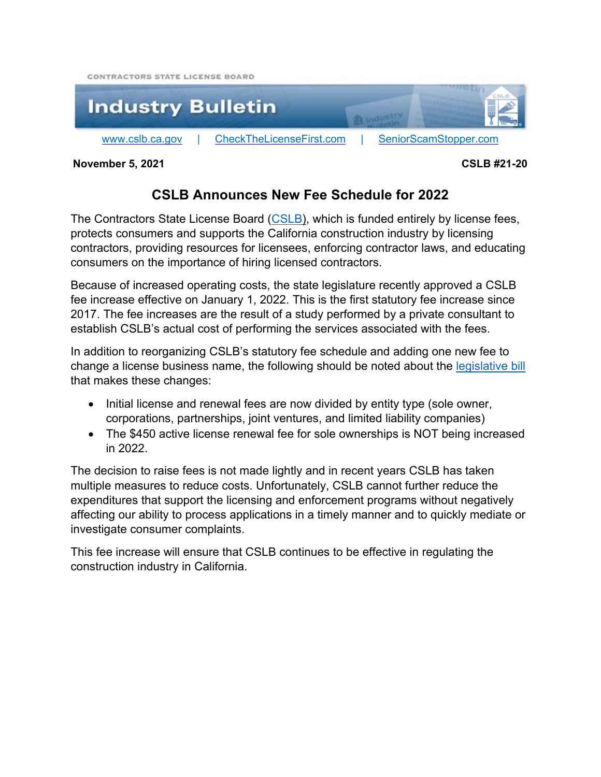



**November 5, 2021 CSLB #21-20** 

#### **CSLB Announces New Fee Schedule for 2022**

The Contractors State License Board ([CSLB](www.cslb.ca.gov)), which is funded entirely by license fees, protects consumers and supports the California construction industry by licensing contractors, providing resources for licensees, enforcing contractor laws, and educating consumers on the importance of hiring licensed contractors.

Because of increased operating costs, the state legislature recently approved a CSLB fee increase effective on January 1, 2022. This is the first statutory fee increase since 2017. The fee increases are the result of a study performed by a private consultant to establish CSLB's actual cost of performing the services associated with the fees.

In addition to reorganizing CSLB's statutory fee schedule and adding one new fee to change a license business name, the following should be noted about the legislative bill that makes these changes:

- Initial license and renewal fees are now divided by entity type (sole owner, corporations, partnerships, joint ventures, and limited liability companies)
- The \$450 active license renewal fee for sole ownerships is NOT being increased in 2022.

The decision to raise fees is not made lightly and in recent years CSLB has taken multiple measures to reduce costs. Unfortunately, CSLB cannot further reduce the expenditures that support the licensing and enforcement programs without negatively affecting our ability to process applications in a timely manner and to quickly mediate or investigate consumer complaints.

This fee increase will ensure that CSLB continues to be effective in regulating the construction industry in California.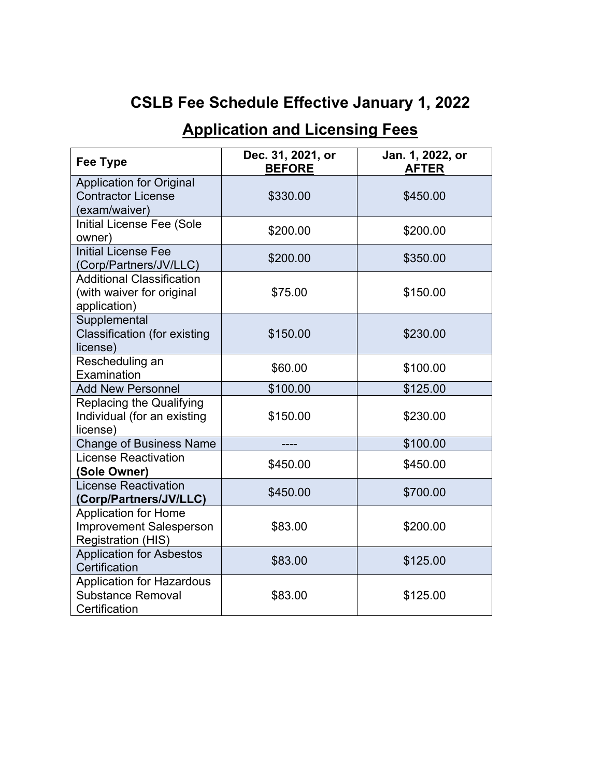# **CSLB Fee Schedule Effective January 1, 2022**

### **Application and Licensing Fees**

| <b>Fee Type</b>                                                                            | Dec. 31, 2021, or<br><b>BEFORE</b> | Jan. 1, 2022, or<br><b>AFTER</b> |
|--------------------------------------------------------------------------------------------|------------------------------------|----------------------------------|
| <b>Application for Original</b><br><b>Contractor License</b><br>(exam/waiver)              | \$330.00                           | \$450.00                         |
| Initial License Fee (Sole<br>owner)                                                        | \$200.00                           | \$200.00                         |
| <b>Initial License Fee</b><br>(Corp/Partners/JV/LLC)                                       | \$200.00                           | \$350.00                         |
| <b>Additional Classification</b><br>(with waiver for original<br>application)              | \$75.00                            | \$150.00                         |
| Supplemental<br><b>Classification (for existing</b><br>license)                            | \$150.00                           | \$230.00                         |
| Rescheduling an<br>Examination                                                             | \$60.00                            | \$100.00                         |
| <b>Add New Personnel</b>                                                                   | \$100.00                           | \$125.00                         |
| <b>Replacing the Qualifying</b><br>Individual (for an existing<br>license)                 | \$150.00                           | \$230.00                         |
| <b>Change of Business Name</b>                                                             |                                    | \$100.00                         |
| <b>License Reactivation</b><br>(Sole Owner)                                                | \$450.00                           | \$450.00                         |
| <b>License Reactivation</b><br>(Corp/Partners/JV/LLC)                                      | \$450.00                           | \$700.00                         |
| <b>Application for Home</b><br><b>Improvement Salesperson</b><br><b>Registration (HIS)</b> | \$83.00                            | \$200.00                         |
| <b>Application for Asbestos</b><br>Certification                                           | \$83.00                            | \$125.00                         |
| <b>Application for Hazardous</b><br><b>Substance Removal</b><br>Certification              | \$83.00                            | \$125.00                         |